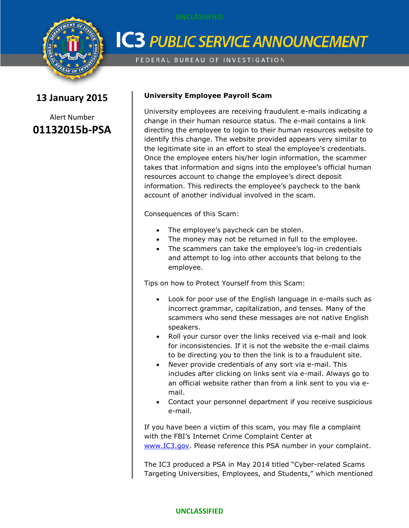

## **IC3 PUBLIC SERVICE ANNOUNCEMENT**

FEDERAL BUREAU OF INVESTIGATION

### **13 January 2015**

Alert Number **01132015b-PSA**

#### **University Employee Payroll Scam**

University employees are receiving fraudulent e-mails indicating a change in their human resource status. The e-mail contains a link directing the employee to login to their human resources website to identify this change. The website provided appears very similar to the legitimate site in an effort to steal the employee's credentials. Once the employee enters his/her login information, the scammer takes that information and signs into the employee's official human resources account to change the employee's direct deposit information. This redirects the employee's paycheck to the bank account of another individual involved in the scam.

Consequences of this Scam:

- The employee's paycheck can be stolen.
- The money may not be returned in full to the employee.
- The scammers can take the employee's log-in credentials and attempt to log into other accounts that belong to the employee.

Tips on how to Protect Yourself from this Scam:

- Look for poor use of the English language in e-mails such as incorrect grammar, capitalization, and tenses. Many of the scammers who send these messages are not native English speakers.
- Roll your cursor over the links received via e-mail and look for inconsistencies. If it is not the website the e-mail claims to be directing you to then the link is to a fraudulent site.
- Never provide credentials of any sort via e-mail. This includes after clicking on links sent via e-mail. Always go to an official website rather than from a link sent to you via email.
- Contact your personnel department if you receive suspicious e-mail.

If you have been a victim of this scam, you may file a complaint with the FBI's Internet Crime Complaint Center at [www.IC3.gov.](http://www.ic3.gov/) Please reference this PSA number in your complaint.

The IC3 produced a PSA in May 2014 titled "Cyber-related Scams Targeting Universities, Employees, and Students," which mentioned

#### **UNCLASSIFIED**